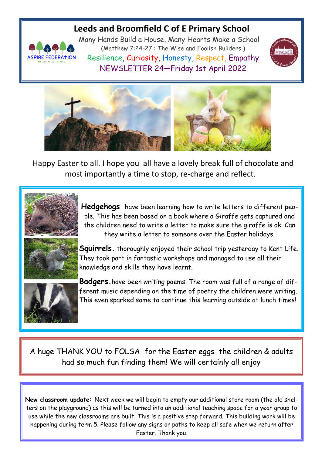## **Leeds and Broomfield C of E Primary School**



Many Hands Build a House, Many Hearts Make a School (Matthew 7:24-27 : The Wise and Foolish Builders ) Resilience, Curiosity, Honesty, Respect, Empathy NEWSLETTER 24—Friday 1st April 2022





Happy Easter to all. I hope you all have a lovely break full of chocolate and most importantly a time to stop, re-charge and reflect.



**Hedgehogs** have been learning how to write letters to different people. This has been based on a book where a Giraffe gets captured and the children need to write a letter to make sure the giraffe is ok. Can they write a letter to someone over the Easter holidays.



**Squirrels.** thoroughly enjoyed their school trip yesterday to Kent Life. They took part in fantastic workshops and managed to use all their knowledge and skills they have learnt.



**Badgers.**have been writing poems. The room was full of a range of different music depending on the time of poetry the children were writing. This even sparked some to continue this learning outside at lunch times!

A huge THANK YOU to FOLSA for the Easter eggs the children & adults had so much fun finding them! We will certainly all enjoy

**New classroom update:** Next week we will begin to empty our additional store room (the old shelters on the playground) as this will be turned into an additional teaching space for a year group to use while the new classrooms are built. This is a positive step forward. This building work will be happening during term 5. Please follow any signs or paths to keep all safe when we return after Easter. Thank you.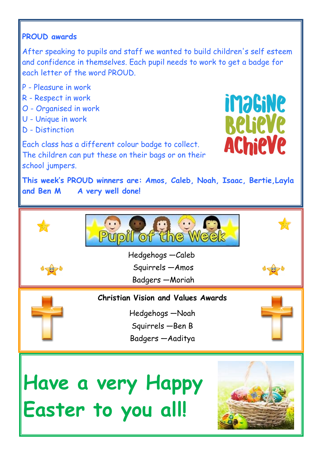## **PROUD awards**

After speaking to pupils and staff we wanted to build children's self esteem and confidence in themselves. Each pupil needs to work to get a badge for each letter of the word PROUD.

- P Pleasure in work
- R Respect in work
- O Organised in work
- U Unique in work
- D Distinction

**imagine Relieve AChieVe** 

Each class has a different colour badge to collect. The children can put these on their bags or on their school jumpers.

**This week's PROUD winners are: Amos, Caleb, Noah, Isaac, Bertie,Layla and Ben M A very well done!** 

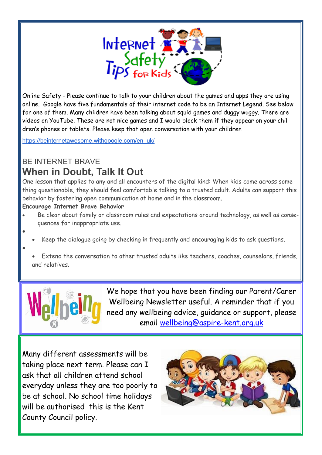

Online Safety - Please continue to talk to your children about the games and apps they are using online. Google have five fundamentals of their internet code to be an Internet Legend. See below for one of them. Many children have been talking about squid games and duggy wuggy. There are videos on YouTube. These are not nice games and I would block them if they appear on your children's phones or tablets. Please keep that open conversation with your children

[https://beinternetawesome.withgoogle.com/en\\_uk/](https://beinternetawesome.withgoogle.com/en_uk/)

## BE INTERNET BRAVE **When in Doubt, Talk It Out**

One lesson that applies to any and all encounters of the digital kind: When kids come across something questionable, they should feel comfortable talking to a trusted adult. Adults can support this behavior by fostering open communication at home and in the classroom.

## **Encourage Internet Brave Behavior**

 $\bullet$ 

 $\bullet$ 

- Be clear about family or classroom rules and expectations around technology, as well as consequences for inappropriate use.
	- Keep the dialogue going by checking in frequently and encouraging kids to ask questions.
	- Extend the conversation to other trusted adults like teachers, coaches, counselors, friends, and relatives.



We hope that you have been finding our Parent/Carer Wellbeing Newsletter useful. A reminder that if you need any wellbeing advice, guidance or support, please email [wellbeing@aspire-kent.org.uk](mailto:wellbeing@aspire-kent.org.uk)

Many different assessments will be taking place next term. Please can I ask that all children attend school everyday unless they are too poorly to be at school. No school time holidays will be authorised this is the Kent County Council policy.